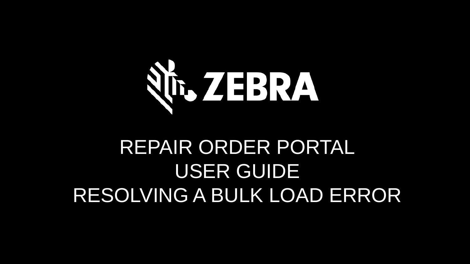

# REPAIR ORDER PORTAL USER GUIDE RESOLVING A BULK LOAD ERROR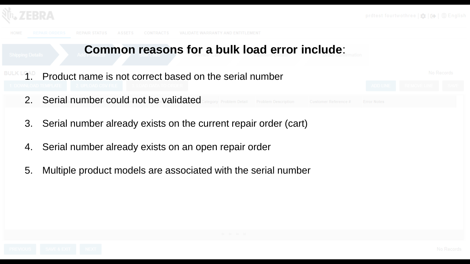





- 3. Serial number already exists on the current repair order (cart)
- 4. Serial number already exists on an open repair order
- 5. Multiple product models are associated with the serial number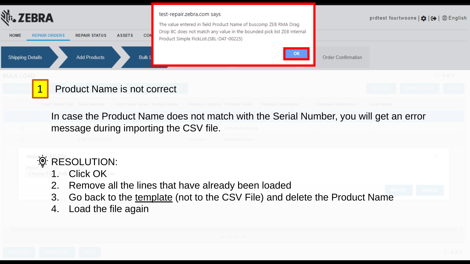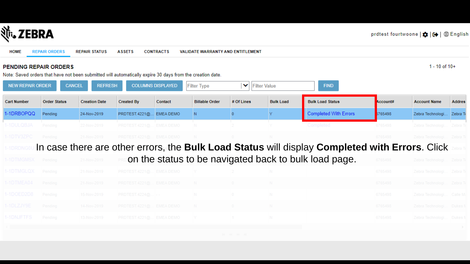

| НОМЕ | <b>REPAIR ORDERS</b> | REPAIR STATUS ASSETS CONTRACTS |  |  | VALIDATE WARRANTY AND ENTITLEMENT |
|------|----------------------|--------------------------------|--|--|-----------------------------------|
|------|----------------------|--------------------------------|--|--|-----------------------------------|

#### PENDING REPAIR ORDERS

 $1 - 10$  of  $10 +$ 

Note: Saved orders that have not been submitted will automatically expire 30 days from the creation date.

| <b>NEW REPAIR ORDER</b> | <b>CANCEL</b>       | <b>REFRESH</b>       |                         | <b>COLUMNS DISPLAYED</b> | <b>Filter Type</b>    | ▼ Filter Value |                  | <b>FIND</b>                                                                                    |          |                           |               |
|-------------------------|---------------------|----------------------|-------------------------|--------------------------|-----------------------|----------------|------------------|------------------------------------------------------------------------------------------------|----------|---------------------------|---------------|
| <b>Cart Number</b>      | <b>Order Status</b> | <b>Creation Date</b> | <b>Created By</b>       | Contact                  | <b>Billable Order</b> | # Of Lines     | <b>Bulk Load</b> | <b>Bulk Load Status</b>                                                                        | Account# | <b>Account Name</b>       | <b>Addres</b> |
| 1-1DRBOPQQ              | Pending             | 24-Nov-2019          | PRDTEST.4221@ EMEA DEMO |                          | IN.                   |                |                  | <b>Completed With Errors</b>                                                                   | 765498   | Zebra Technologi Zebra T  |               |
| -1DULQBJA               | Pending             | 22-Nov-2019          | PRDTEST.4221@ EMEA DEMO |                          |                       |                |                  | Completed                                                                                      | 6765498  | Zebra Technologi          | Zebra 1       |
| I-1DTV3ZPC              | Pending             | 21-Nov-2019          | PRDTEST.4221@ EMEA DEMO |                          | N                     | $\overline{0}$ |                  |                                                                                                | 6765498  | Zebra Technologi Zebra To |               |
| -1DRDN                  |                     |                      |                         |                          |                       |                |                  | In case there are other errors, the Bulk Load Status will display Completed with Errors. Click |          |                           |               |
| -1DTMGM5X               | Pending             | 21-Nov-2019          |                         |                          |                       |                |                  | on the status to be navigated back to bulk load page.                                          | 6765498  | Zebra Technologi Zebra To |               |
| -1DTMGLQX Pending       |                     | 21-Nov-2019          | PRDTEST.4221@ EMEA DEMO |                          | - IY                  |                |                  |                                                                                                | 6765498  | Zebra Technologi Zebra Ti |               |
| -1DTMEA04               | Pending             | 21-Nov-2019          | PRDTEST.4221@ EMEA DEMO |                          | N                     | $\sim$ 0       | N.               |                                                                                                | 6765498  | Zebra Technologi Zebra To |               |
| -1DOED2D8               | Pending             | 15-Nov-2019          | $PRDTEST.4224@$ --      |                          | IN 1                  | $\overline{0}$ | IN.              |                                                                                                | 6765498  | Zebra Technologi Calle M. |               |
| -1DLZJY9E               | Pending             | 14-Nov-2019          | PRDTEST.4221@ EMEA DEMO |                          | - N -                 | $\overline{0}$ | N.               |                                                                                                | 6765498  | Zebra Technologi Dukes N  |               |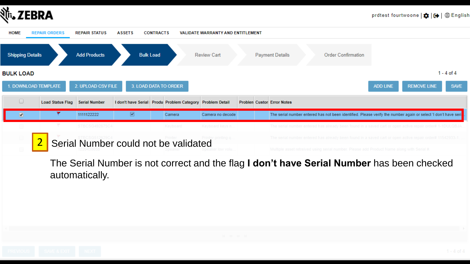



The Serial Number is not correct and the flag **I don't have Serial Number** has been checked automatically.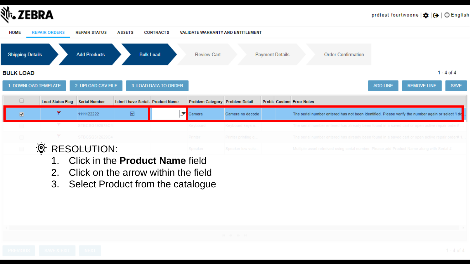



- 2. Click on the arrow within the field
- 3. Select Product from the catalogue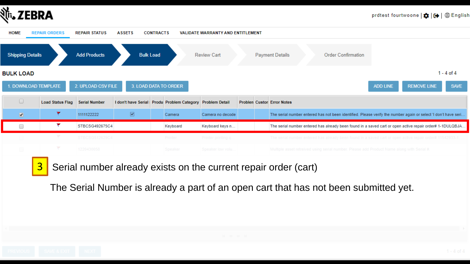

| <b>HOME</b>             | <b>REPAIR ORDERS</b> | <b>REPAIR STATUS</b> | <b>ASSETS</b>                                              | <b>CONTRACTS</b> |          | <b>VALIDATE WARRANTY AND ENTITLEMENT</b> |  |                                                                                                                |                 |                    |                |
|-------------------------|----------------------|----------------------|------------------------------------------------------------|------------------|----------|------------------------------------------|--|----------------------------------------------------------------------------------------------------------------|-----------------|--------------------|----------------|
| <b>Shipping Details</b> |                      | <b>Add Products</b>  | <b>Bulk Load</b>                                           |                  |          | <b>Review Cart</b>                       |  | <b>Payment Details</b><br><b>Order Confirmation</b>                                                            |                 |                    |                |
| BULK LOAD               |                      |                      |                                                            |                  |          |                                          |  |                                                                                                                |                 |                    | $1 - 4$ of $4$ |
|                         | 1. DOWNLOAD TEMPLATE | 2. UPLOAD CSV FILE   | 3. LOAD DATA TO ORDER                                      |                  |          |                                          |  |                                                                                                                | <b>ADD LINE</b> | <b>REMOVE LINE</b> | <b>SAVE</b>    |
| $\Box$                  | Load Status Flag     | <b>Serial Number</b> | I don't have Serial: Produ Problem Category Problem Detail |                  |          |                                          |  | <b>Problen Custon Error Notes</b>                                                                              |                 |                    |                |
| $\bullet$               | ۳                    | 1111122222           | $\overline{\blacktriangledown}$                            |                  | Camera   | Camera no decode                         |  | The serial number entered has not been identified. Please verify the number again or select 'I don't have seri |                 |                    |                |
| 0                       | ۴                    | STBCSG492675C4       |                                                            |                  | Keyboard | Keyboard keys n                          |  | The serial number entered has already been found in a saved cart or open active repair order# 1-1DULQBJA       |                 |                    |                |
|                         |                      | STBCSG512629C4       |                                                            |                  | Printer  | Printer printing q                       |  | The serial number entered has already been found in a saved cart or open active repair order# 11542933-1.      |                 |                    |                |
| $\qquad \qquad \Box$    |                      | 1220430058           |                                                            |                  | Speaker  | Speaker low yolu.                        |  | Multiple asset retreived using serial number. Please add Product Name along with Serial #.                     |                 |                    |                |
|                         |                      |                      |                                                            |                  |          |                                          |  |                                                                                                                |                 |                    |                |

 $\begin{array}{|c|c|c|c|c|} \hline 3 & \hline \end{array}$  Serial number already exists on the current repair order (cart)

The Serial Number is already a part of an open cart that has not been submitted yet.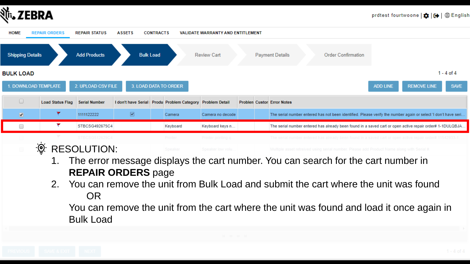



- 1. The error message displays the cart number. You can search for the cart number in **REPAIR ORDERS** page
- 2. You can remove the unit from Bulk Load and submit the cart where the unit was found OR

You can remove the unit from the cart where the unit was found and load it once again in Bulk Load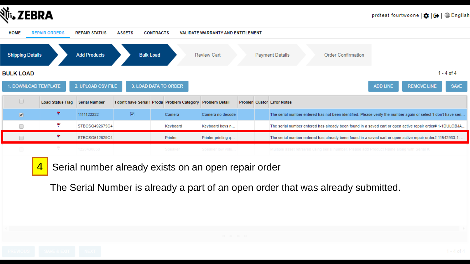

| <b>HOME</b>             | <b>REPAIR ORDERS</b>           | <b>REPAIR STATUS</b> | <b>ASSETS</b>                                              | <b>CONTRACTS</b>      |          | <b>VALIDATE WARRANTY AND ENTITLEMENT</b> |  |                                                                                                                |
|-------------------------|--------------------------------|----------------------|------------------------------------------------------------|-----------------------|----------|------------------------------------------|--|----------------------------------------------------------------------------------------------------------------|
| <b>Shipping Details</b> |                                | <b>Add Products</b>  | <b>Bulk Load</b>                                           |                       |          | <b>Review Cart</b>                       |  | <b>Payment Details</b><br><b>Order Confirmation</b>                                                            |
| <b>BULK LOAD</b>        |                                |                      |                                                            |                       |          |                                          |  | 1 - 4 of 4                                                                                                     |
|                         | 1. DOWNLOAD TEMPLATE           | 2. UPLOAD CSV FILE   |                                                            | 3. LOAD DATA TO ORDER |          |                                          |  | <b>SAVE</b><br><b>REMOVE LINE</b><br><b>ADD LINE</b>                                                           |
| $\Box$                  | Load Status Flag Serial Number |                      | I don't have Serial: Produ Problem Category Problem Detail |                       |          |                                          |  | <b>Problen Custon Error Notes</b>                                                                              |
| $\bullet$               | ۳                              | 1111122222           | $\overline{\mathbf{S}}$                                    |                       | Camera   | Camera no decode                         |  | The serial number entered has not been identified. Please verify the number again or select 'I don't have seri |
|                         | ÷                              | STBCSG492675C4       |                                                            |                       | Keyboard | Keyboard keys n                          |  | The serial number entered has already been found in a saved cart or open active repair order# 1-1DULQBJA       |
|                         | ۳                              | STBCSG512629C4       |                                                            | Printer               |          | Printer printing q                       |  | The serial number entered has already been found in a saved cart or open active repair order# 11542933-1.      |
| $\qquad \qquad \Box$    | ÷                              | 1220430058           |                                                            |                       | Speaker  | Speaker low yolu.                        |  | Multiple asset retreived using serial number. Please add Product Name along with Serial #.                     |
|                         |                                |                      |                                                            |                       |          |                                          |  |                                                                                                                |

 $\frac{4}{8}$  Serial number already exists on an open repair order

The Serial Number is already a part of an open order that was already submitted.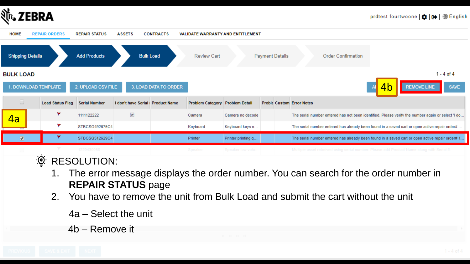



#### $-\underline{\overline{\mathbf{Q}}}$ RESOLUTION:

- 1. The error message displays the order number. You can search for the order number in **REPAIR STATUS** page
- 2. You have to remove the unit from Bulk Load and submit the cart without the unit
	- 4a Select the unit
	- 4b Remove it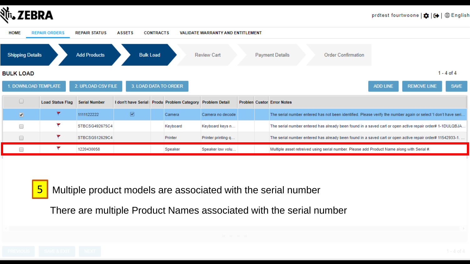

| <b>HOME</b>             | <b>REPAIR ORDERS</b>    | <b>REPAIR STATUS</b> | <b>ASSETS</b>                   | <b>CONTRACTS</b> |                                                            | <b>VALIDATE WARRANTY AND ENTITLEMENT</b> |  |                                                                                                                |
|-------------------------|-------------------------|----------------------|---------------------------------|------------------|------------------------------------------------------------|------------------------------------------|--|----------------------------------------------------------------------------------------------------------------|
| <b>Shipping Details</b> |                         | <b>Add Products</b>  | <b>Bulk Load</b>                |                  |                                                            | <b>Review Cart</b>                       |  | <b>Payment Details</b><br><b>Order Confirmation</b>                                                            |
| BULK LOAD               |                         |                      |                                 |                  |                                                            |                                          |  | 1 - 4 of 4                                                                                                     |
|                         | 1. DOWNLOAD TEMPLATE    | 2. UPLOAD CSV FILE   | 3. LOAD DATA TO ORDER           |                  |                                                            |                                          |  | <b>SAVE</b><br><b>REMOVE LINE</b><br><b>ADD LINE</b>                                                           |
| $\Box$                  | <b>Load Status Flag</b> | <b>Serial Number</b> |                                 |                  | I don't have Serial: Produ Problem Category Problem Detail |                                          |  | <b>Problen Custon Error Notes</b>                                                                              |
| $\bullet$               | ۳                       | 1111122222           | $\overline{\blacktriangledown}$ |                  | Camera                                                     | Camera no decode                         |  | The serial number entered has not been identified. Please verify the number again or select 'I don't have seri |
| ∩                       | ۳                       | STBCSG492675C4       |                                 |                  | Keyboard                                                   | Keyboard keys n                          |  | The serial number entered has already been found in a saved cart or open active repair order# 1-1DULQBJA       |
|                         | ۳                       | STBCSG512629C4       |                                 |                  | Printer                                                    | Printer printing q                       |  | The serial number entered has already been found in a saved cart or open active repair order# 11542933-1.      |
|                         |                         | 1220430058           |                                 |                  | Speaker                                                    | Speaker low volu                         |  | Multiple asset retreived using serial number. Please add Product Name along with Serial #.                     |



5 Multiple product models are associated with the serial number

There are multiple Product Names associated with the serial number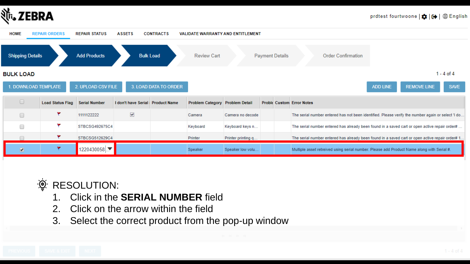





- 1. Click in the **SERIAL NUMBER** field
- 2. Click on the arrow within the field
- 3. Select the correct product from the pop-up window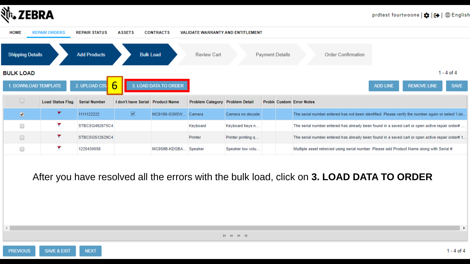

| <b>HOME</b>             | <b>REPAIR ORDERS</b> | <b>REPAIR STATUS</b> | <b>ASSETS</b>                     | <b>CONTRACTS</b>      |                                 | <b>VALIDATE WARRANTY AND ENTITLEMENT</b> |                        |                                                                                                   |                 |                    |             |
|-------------------------|----------------------|----------------------|-----------------------------------|-----------------------|---------------------------------|------------------------------------------|------------------------|---------------------------------------------------------------------------------------------------|-----------------|--------------------|-------------|
| <b>Shipping Details</b> |                      | <b>Add Products</b>  | <b>Bulk Load</b>                  |                       | <b>Review Cart</b>              |                                          | <b>Payment Details</b> | <b>Order Confirmation</b>                                                                         |                 |                    |             |
| <b>BULK LOAD</b>        |                      |                      |                                   |                       |                                 |                                          |                        |                                                                                                   |                 |                    | 1 - 4 of 4  |
|                         | 1. DOWNLOAD TEMPLATE | 2. UPLOAD CSV        | $\mathsf{h}$                      | 3. LOAD DATA TO ORDER |                                 |                                          |                        |                                                                                                   | <b>ADD LINE</b> | <b>REMOVE LINE</b> | <b>SAVE</b> |
| $\Box$                  | Load Status Flag     | <b>Serial Number</b> | I don't have Serial: Product Name |                       | Problem Category Problem Detail |                                          |                        | <b>Proble Custom Error Notes</b>                                                                  |                 |                    |             |
| $\bullet$               | ۳                    | 1111122222           | $\overline{\mathbf{v}}$           | MC9190-G30SW Camera   |                                 | Camera no decode                         |                        | The serial number entered has not been identified. Please verify the number again or select 'I do |                 |                    |             |
|                         |                      | STBCSG492675C4       |                                   |                       | Keyboard                        | Keyboard keys n                          |                        | The serial number entered has already been found in a saved cart or open active repair order#     |                 |                    |             |
|                         |                      | STBCSG512629C4       |                                   |                       | Printer                         | Printer printing q                       |                        | The serial number entered has already been found in a saved cart or open active repair order# 1   |                 |                    |             |
|                         |                      | 1220430058           |                                   | MC959B-KDGBA Speaker  |                                 | Speaker low volu                         |                        | Multiple asset retreived using serial number. Please add Product Name along with Serial #.        |                 |                    |             |

After you have resolved all the errors with the bulk load, click on 3. LOAD DATA TO ORDER

 $M$   $M$   $N$   $M$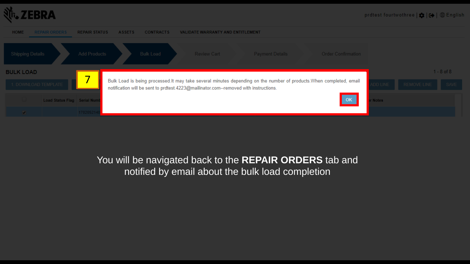

| <b>HOME</b>              | <b>REPAIR ORDERS</b>        | <b>REPAIR STATUS</b> | <b>ASSETS</b> | <b>CONTRACTS</b> | VALIDATE WARRANTY AND ENTITLEMENT                                                    |                                                                                                                      |                             |                |             |                  |
|--------------------------|-----------------------------|----------------------|---------------|------------------|--------------------------------------------------------------------------------------|----------------------------------------------------------------------------------------------------------------------|-----------------------------|----------------|-------------|------------------|
| Shipping Details         |                             | <b>Add Products</b>  |               | Bulk Load        | <b>Review Cart</b>                                                                   | <b>Payment Details</b>                                                                                               | <b>Order Confirmation</b>   |                |             |                  |
| <b>BULK LOAD</b>         |                             | 乛                    |               |                  |                                                                                      |                                                                                                                      |                             |                |             | $1 - 8$ of $8 -$ |
|                          | 1. DOWNLOAD TEMPLATE        |                      |               |                  | notification will be sent to prdtest.4223@mailinator.com--removed with instructions. | Bulk Load is being processed. It may take several minutes depending on the number of products. When completed, email |                             | <b>DD LINE</b> | REMOVE LINE | SAVE             |
|                          | Load Status Flag Serial Num |                      |               |                  |                                                                                      |                                                                                                                      | $\overline{\phantom{a}}$ ok | <b>Notes</b>   |             |                  |
| $\overline{\mathcal{L}}$ |                             | 17020521             |               |                  |                                                                                      |                                                                                                                      |                             |                |             |                  |

### You will be navigated back to the **REPAIR ORDERS** tab and notified by email about the bulk load completion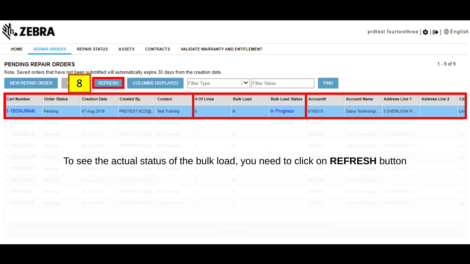

**HOME REPAIR ORDERS REPAIR STATUS ASSETS CONTRACTS** VALIDATE WARRANTY AND ENTITLEMENT

#### PENDING REPAIR ORDERS

 $1 - 9$  of  $9$ 

Note: Saved orders that have not been submitted will automatically expire 30 days from the creation date.

| <b>NEW REPAIR ORDER</b> |                     | 8<br><b>REFRESH</b>                                                            |                             | <b>COLUMNS DISPLAYED</b> | <b>Filter Type</b> | ▼   Filter Value |                         | <b>FIND</b> |                                  |                               |                       |      |
|-------------------------|---------------------|--------------------------------------------------------------------------------|-----------------------------|--------------------------|--------------------|------------------|-------------------------|-------------|----------------------------------|-------------------------------|-----------------------|------|
| <b>Cart Number</b>      | <b>Order Status</b> | <b>Creation Date</b>                                                           | <b>Created By</b>           | Contact                  | # Of Lines         | <b>Bulk Load</b> | <b>Bulk Load Status</b> | Account#    | <b>Account Name</b>              | <b>Address Line 1</b>         | <b>Address Line 2</b> | City |
| -1BGNJMAK               | Pending             | 07-Aug-2019                                                                    | PRDTEST.4223@ Test Training |                          |                    | N.               | In Progress             | 6765515     |                                  | Zebra Technologi 3 OVERLOOK P |                       | Lind |
| -1BG0Q8NX               | Pending             | 07-Aug-2019                                                                    | PRDTEST.4223@ Test Training |                          | $\overline{0}$     |                  | Completed               | 6765515     | Zebra Technologi 3 OVERLOOK P    |                               |                       | Linc |
| -1BG2GELA               | Pending             | 05-Aug-2019                                                                    | PRDTEST.4223@ Test Training |                          | $\sim$ 1           | N.               |                         | 6765515     | Zebra Technologi 3 OVERLOOK P.   |                               |                       | Lind |
| -1BG2GEG1               | Pending             | 05-Aug-2019                                                                    | PRDTEST.4223@ Test Training |                          | $\overline{0}$     | IN.              |                         | 6765515     | Zebra Technologi 3 OVERLOOK P    |                               |                       | Lind |
| -1BDASQ0W Pendin        |                     | To see the actual status of the bulk load, you need to click on REFRESH button |                             |                          |                    |                  |                         |             |                                  |                               |                       | Lind |
| -1BEH3MCF               | Pending             |                                                                                | PRDTEST.4223@ Test Training |                          |                    |                  |                         |             |                                  | 3 OVERLOOK P.                 |                       | Lind |
| -1BEH3MB1               | Pending             | 01-Aug-2019                                                                    | PRDTEST.4223@               |                          | $\overline{0}$     | N.               |                         | 6765515     | Zebra Technologi.                |                               |                       |      |
| -1BDIRQ81               | Pending             | 30-Jul-2019                                                                    | PRDTEST.4223@ Test Training |                          | $\sim$ 0           | IN.              |                         | 6765515     | Zebra Technologi   3 OVERLOOK P. |                               |                       | Linc |
| 1-16LMAHUP              | Pending             | 09-Jul-2019                                                                    | PRDTEST.4224@ Carolyn Assad |                          | $\sim$ 1           | N.               |                         | 6765515     | Zebra Technologi 3 OVERLOOK P    |                               |                       | Lind |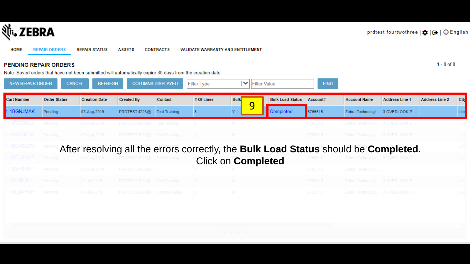

| <b>HOME</b>             | <b>REPAIR ORDERS</b>         | <b>REPAIR STATUS</b>            | <b>ASSETS</b>                                                                                             | <b>CONTRACTS</b>         | <b>VALIDATE WARRANTY AND ENTITLEMENT</b> |                                                                                     |                         |             |                                  |                       |                       |      |
|-------------------------|------------------------------|---------------------------------|-----------------------------------------------------------------------------------------------------------|--------------------------|------------------------------------------|-------------------------------------------------------------------------------------|-------------------------|-------------|----------------------------------|-----------------------|-----------------------|------|
|                         | <b>PENDING REPAIR ORDERS</b> |                                 | Note: Saved orders that have not been submitted will automatically expire 30 days from the creation date. |                          |                                          |                                                                                     |                         |             |                                  |                       | $1 - 8$ of $8$        |      |
| <b>NEW REPAIR ORDER</b> |                              | <b>CANCEL</b><br><b>REFRESH</b> |                                                                                                           | <b>COLUMNS DISPLAYED</b> | <b>Filter Type</b>                       | $\blacktriangleright$   Filter Value                                                |                         | <b>FIND</b> |                                  |                       |                       |      |
| <b>Cart Number</b>      | <b>Order Status</b>          | <b>Creation Date</b>            | <b>Created By</b>                                                                                         | Contact                  | # Of Lines                               | <b>Bulk</b>                                                                         | <b>Bulk Load Status</b> | Account#    | <b>Account Name</b>              | <b>Address Line 1</b> | <b>Address Line 2</b> | City |
| 1-1BGNJMAK              | Pending                      | 07-Aug-2019                     | PRDTEST.4223@ Test Training                                                                               |                          |                                          | 9<br>v                                                                              | Completed               | 6765515     | Zebra Technologi 3 OVERLOOK P    |                       |                       | Lind |
| 1-1BG2GELA              | Pending                      | 05-Aug-2019                     | PRDTEST.4223@ Test Training                                                                               |                          |                                          |                                                                                     |                         | 6765515     | Zebra Technologi   3 OVERLOOK P. |                       |                       | Lind |
| 1-1BG2GEG1              | Pending                      | 05-Aug-2019                     | PRDTEST.4223@ Test Training                                                                               |                          | $\overline{0}$                           | N.                                                                                  |                         | 6765515     | Zebra Technologi   3 OVERLOOK P. |                       |                       | Lind |
| 1-1BDASQ0W              |                              |                                 |                                                                                                           |                          |                                          | After resolving all the errors correctly, the Bulk Load Status should be Completed. |                         |             |                                  |                       |                       | Lind |
| 1-1BEH3MCF              | Pending                      | 01-Aug-2019                     | PRDTEST.4223@ Test Training                                                                               |                          |                                          | <b>Click on Completed</b>                                                           |                         |             |                                  |                       |                       | Lind |
| 1-1BEH3MB1              | Pending                      | 01-Aug-2019                     | PRDTEST.4223@.                                                                                            |                          |                                          |                                                                                     |                         | 6765515     | Zebra Technologi.                |                       |                       |      |
| 1-1BDIRQ81              | Pending                      | 30-Jul-2019                     | PRDTEST.4223@ Test Training                                                                               |                          |                                          |                                                                                     |                         | 6765515     | Zebra Technologi   3 OVERLOOK P. |                       |                       | Lind |
| 1-16LMAHUP              | Pending                      | 09-Jul-2019                     | PRDTEST.4224@ Carolyn Assad                                                                               |                          |                                          |                                                                                     |                         | 6765515     | Zebra Technologi.                | <b>3 OVERLOOK P</b>   |                       | Linc |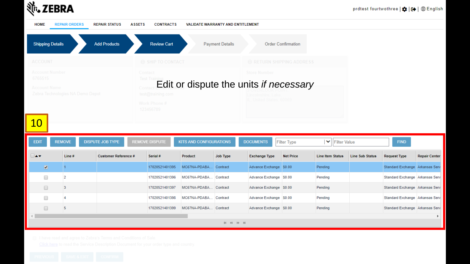## **並、ZEBRA**

 $\,$   $\,$ 

| <b>HOME</b>    |                                              | <b>REPAIR ORDERS</b>             | <b>REPAIR STATUS</b>        | <b>ASSETS</b> | <b>CONTRACTS</b>                                         | VALIDATE WARRANTY AND ENTITLEMENT |                        |                                                                                           |                           |                         |                        |                                |                     |
|----------------|----------------------------------------------|----------------------------------|-----------------------------|---------------|----------------------------------------------------------|-----------------------------------|------------------------|-------------------------------------------------------------------------------------------|---------------------------|-------------------------|------------------------|--------------------------------|---------------------|
|                | <b>Shipping Details</b>                      |                                  | <b>Add Products</b>         |               | <b>Review Cart</b>                                       |                                   | <b>Payment Details</b> |                                                                                           | <b>Order Confirmation</b> |                         |                        |                                |                     |
| <b>ACCOUNT</b> |                                              |                                  |                             |               | <b>6</b> SHIP TO CONTACT                                 |                                   |                        | RETURN SHIPPING ADDRESS                                                                   |                           |                         |                        |                                |                     |
| 6765515        | <b>Account Number</b><br><b>Account Name</b> | Zebra Technologies NA Demo Depot |                             | Contact       | <b>Test Trainir</b><br>test@training.com<br>Work Phone # |                                   |                        | <b>Store Number</b><br>Edit or dispute the units if necessary<br>IL. United States, 60069 |                           |                         |                        |                                |                     |
| <b>10</b>      |                                              |                                  |                             |               | 123456789                                                |                                   |                        |                                                                                           |                           |                         |                        |                                |                     |
| <b>EDIT</b>    |                                              | <b>REMOVE</b>                    | <b>DISPUTE JOB TYPE</b>     |               | <b>REMOVE DISPUTE</b>                                    | KITS AND CONFIGURATIONS           |                        | <b>DOCUMENTS</b>                                                                          | <b>Filter Type</b>        | ► Filter Value          |                        | <b>FIND</b>                    |                     |
| ∧▼             |                                              | Line#                            | <b>Customer Reference #</b> |               | Serial #                                                 | Product                           | <b>Job Type</b>        | <b>Exchange Type</b>                                                                      | <b>Net Price</b>          | <b>Line Item Status</b> | <b>Line Sub Status</b> | <b>Request Type</b>            | <b>Repair Cente</b> |
|                | $\overline{\mathcal{L}}$                     |                                  |                             |               | 17020521401395                                           | MC67NA-PDABA                      | Contract               | Advance Exchange \$0.00                                                                   |                           | Pending                 |                        | Standard Exchange Arkansas Ser |                     |
|                | □                                            | 2                                |                             |               | 17020521401396                                           | MC67NA-PDABA                      | Contract               | Advance Exchange \$0.00                                                                   |                           | Pending                 |                        | Standard Exchange Arkansas Ser |                     |
|                | $\Box$                                       | 3                                |                             |               | 17020521401397                                           | MC67NA-PDABA                      | Contract               | Advance Exchange \$0.00                                                                   |                           | Pending                 |                        | Standard Exchange Arkansas Ser |                     |
|                | □                                            | 4                                |                             |               | 17020521401398                                           | MC67NA-PDABA                      | Contract               | Advance Exchange \$0.00                                                                   |                           | Pending                 |                        | Standard Exchange Arkansas Ser |                     |
|                | $\Box$                                       | 5                                |                             |               | 17020521401399                                           | MC67NA-PDABA Contract             |                        | Advance Exchange \$0.00                                                                   |                           | Pending                 |                        | Standard Exchange Arkansas Ser |                     |

 $\overline{4}$